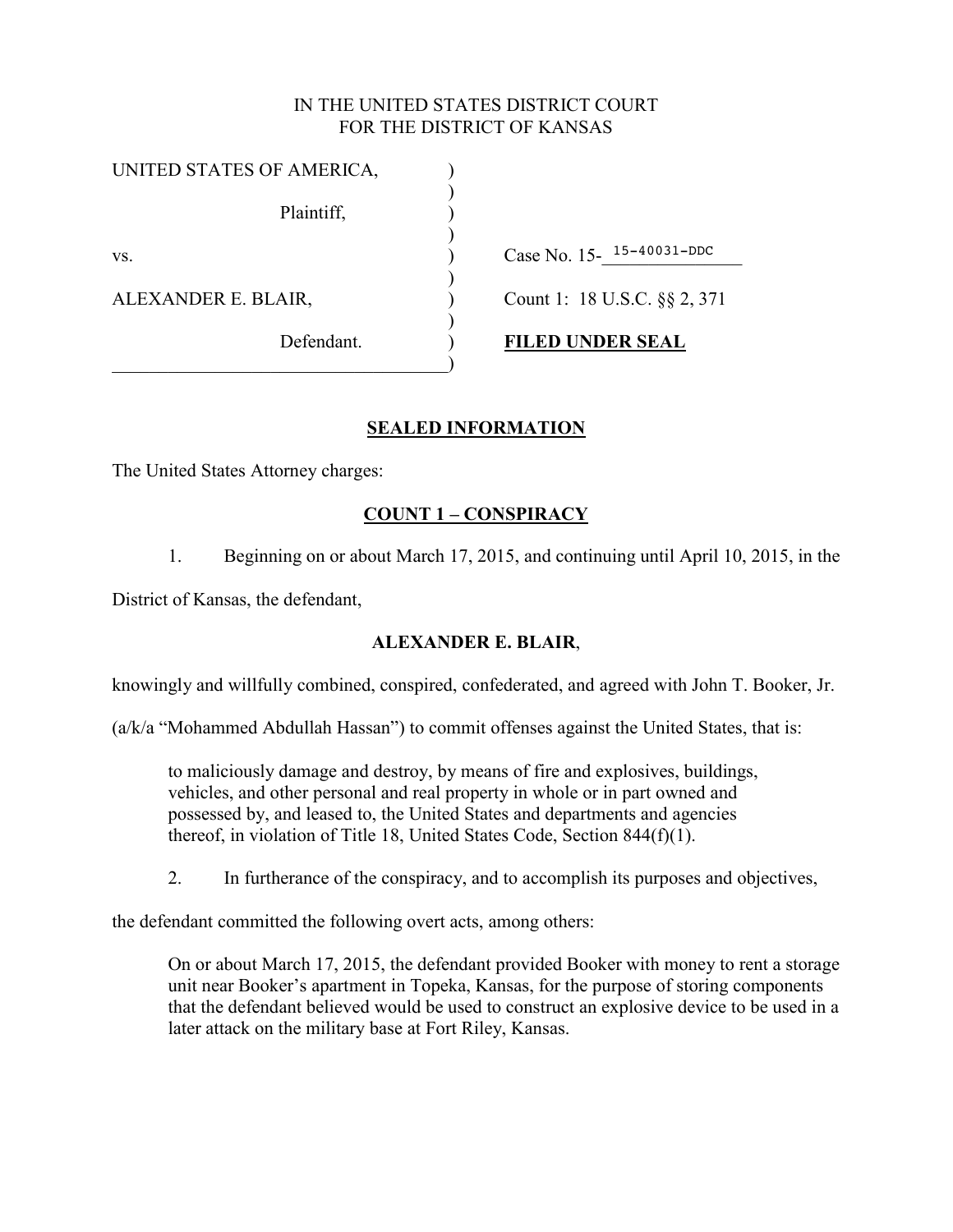#### IN THE UNITED STATES DISTRICT COURT FOR THE DISTRICT OF KANSAS

| Case No. 15-15-40031-DDC     |
|------------------------------|
| Count 1: 18 U.S.C. §§ 2, 371 |
| <b>FILED UNDER SEAL</b>      |
|                              |

## **SEALED INFORMATION**

The United States Attorney charges:

# **COUNT 1 – CONSPIRACY**

1. Beginning on or about March 17, 2015, and continuing until April 10, 2015, in the

District of Kansas, the defendant,

## **ALEXANDER E. BLAIR**,

knowingly and willfully combined, conspired, confederated, and agreed with John T. Booker, Jr.

 $(a/k/a$  "Mohammed Abdullah Hassan") to commit offenses against the United States, that is:

to maliciously damage and destroy, by means of fire and explosives, buildings, vehicles, and other personal and real property in whole or in part owned and possessed by, and leased to, the United States and departments and agencies thereof, in violation of Title 18, United States Code, Section 844(f)(1).

2. In furtherance of the conspiracy, and to accomplish its purposes and objectives,

the defendant committed the following overt acts, among others:

On or about March 17, 2015, the defendant provided Booker with money to rent a storage unit near Booker's apartment in Topeka, Kansas, for the purpose of storing components that the defendant believed would be used to construct an explosive device to be used in a later attack on the military base at Fort Riley, Kansas.